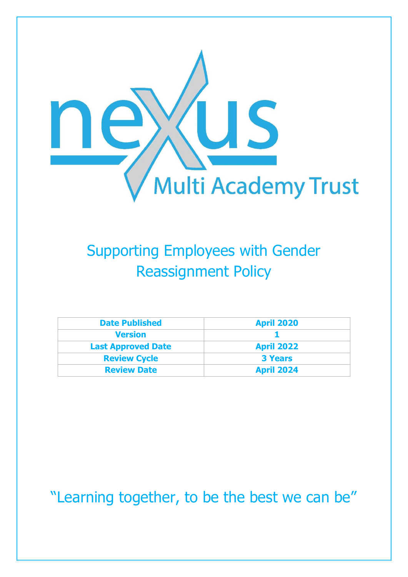

# Supporting Employees with Gender Reassignment Policy

| <b>Date Published</b>     | <b>April 2020</b> |
|---------------------------|-------------------|
| <b>Version</b>            |                   |
| <b>Last Approved Date</b> | <b>April 2022</b> |
| <b>Review Cycle</b>       | <b>3 Years</b>    |
| <b>Review Date</b>        | <b>April 2024</b> |

"Learning together, to be the best we can be"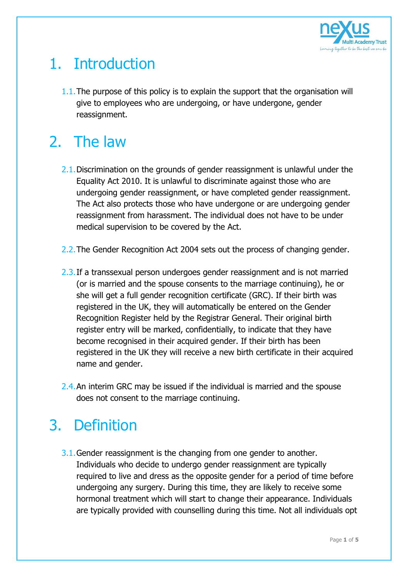

# 1. Introduction

1.1. The purpose of this policy is to explain the support that the organisation will give to employees who are undergoing, or have undergone, gender reassignment.

## 2. The law

- 2.1. Discrimination on the grounds of gender reassignment is unlawful under the Equality Act 2010. It is unlawful to discriminate against those who are undergoing gender reassignment, or have completed gender reassignment. The Act also protects those who have undergone or are undergoing gender reassignment from harassment. The individual does not have to be under medical supervision to be covered by the Act.
- 2.2.The Gender Recognition Act 2004 sets out the process of changing gender.
- 2.3. If a transsexual person undergoes gender reassignment and is not married (or is married and the spouse consents to the marriage continuing), he or she will get a full gender recognition certificate (GRC). If their birth was registered in the UK, they will automatically be entered on the Gender Recognition Register held by the Registrar General. Their original birth register entry will be marked, confidentially, to indicate that they have become recognised in their acquired gender. If their birth has been registered in the UK they will receive a new birth certificate in their acquired name and gender.
- 2.4. An interim GRC may be issued if the individual is married and the spouse does not consent to the marriage continuing.

### 3. Definition

3.1. Gender reassignment is the changing from one gender to another. Individuals who decide to undergo gender reassignment are typically required to live and dress as the opposite gender for a period of time before undergoing any surgery. During this time, they are likely to receive some hormonal treatment which will start to change their appearance. Individuals are typically provided with counselling during this time. Not all individuals opt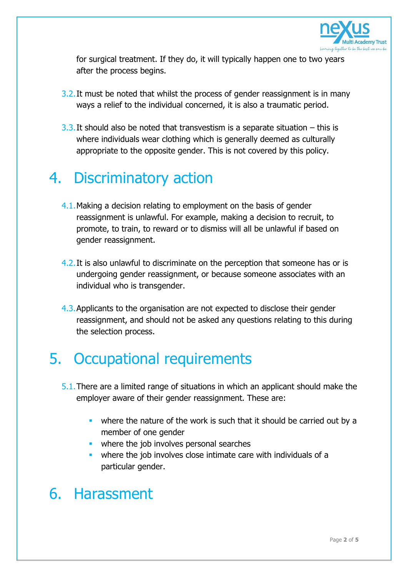

for surgical treatment. If they do, it will typically happen one to two years after the process begins.

- 3.2.It must be noted that whilst the process of gender reassignment is in many ways a relief to the individual concerned, it is also a traumatic period.
- $3.3.1$  It should also be noted that transvestism is a separate situation this is where individuals wear clothing which is generally deemed as culturally appropriate to the opposite gender. This is not covered by this policy.

#### 4. Discriminatory action

- 4.1.Making a decision relating to employment on the basis of gender reassignment is unlawful. For example, making a decision to recruit, to promote, to train, to reward or to dismiss will all be unlawful if based on gender reassignment.
- 4.2.It is also unlawful to discriminate on the perception that someone has or is undergoing gender reassignment, or because someone associates with an individual who is transgender.
- 4.3.Applicants to the organisation are not expected to disclose their gender reassignment, and should not be asked any questions relating to this during the selection process.

### 5. Occupational requirements

- 5.1.There are a limited range of situations in which an applicant should make the employer aware of their gender reassignment. These are:
	- where the nature of the work is such that it should be carried out by a member of one gender
	- where the job involves personal searches
	- where the job involves close intimate care with individuals of a particular gender.

#### 6. Harassment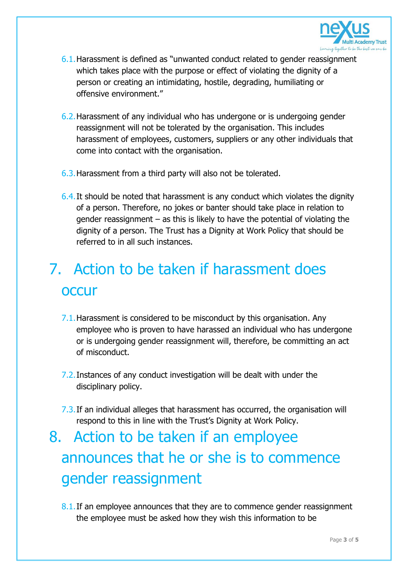

- 6.1.Harassment is defined as "unwanted conduct related to gender reassignment which takes place with the purpose or effect of violating the dignity of a person or creating an intimidating, hostile, degrading, humiliating or offensive environment."
- 6.2.Harassment of any individual who has undergone or is undergoing gender reassignment will not be tolerated by the organisation. This includes harassment of employees, customers, suppliers or any other individuals that come into contact with the organisation.
- 6.3.Harassment from a third party will also not be tolerated.
- 6.4.It should be noted that harassment is any conduct which violates the dignity of a person. Therefore, no jokes or banter should take place in relation to gender reassignment – as this is likely to have the potential of violating the dignity of a person. The Trust has a Dignity at Work Policy that should be referred to in all such instances.

# 7. Action to be taken if harassment does **occur**

- 7.1. Harassment is considered to be misconduct by this organisation. Any employee who is proven to have harassed an individual who has undergone or is undergoing gender reassignment will, therefore, be committing an act of misconduct.
- 7.2.Instances of any conduct investigation will be dealt with under the disciplinary policy.
- 7.3. If an individual alleges that harassment has occurred, the organisation will respond to this in line with the Trust's Dignity at Work Policy.

# 8. Action to be taken if an employee announces that he or she is to commence gender reassignment

8.1. If an employee announces that they are to commence gender reassignment the employee must be asked how they wish this information to be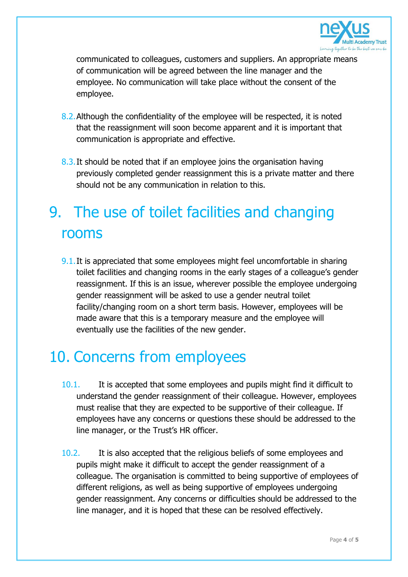

communicated to colleagues, customers and suppliers. An appropriate means of communication will be agreed between the line manager and the employee. No communication will take place without the consent of the employee.

- 8.2.Although the confidentiality of the employee will be respected, it is noted that the reassignment will soon become apparent and it is important that communication is appropriate and effective.
- 8.3. It should be noted that if an employee joins the organisation having previously completed gender reassignment this is a private matter and there should not be any communication in relation to this.

# 9. The use of toilet facilities and changing rooms

9.1.It is appreciated that some employees might feel uncomfortable in sharing toilet facilities and changing rooms in the early stages of a colleague's gender reassignment. If this is an issue, wherever possible the employee undergoing gender reassignment will be asked to use a gender neutral toilet facility/changing room on a short term basis. However, employees will be made aware that this is a temporary measure and the employee will eventually use the facilities of the new gender.

#### 10. Concerns from employees

- 10.1. It is accepted that some employees and pupils might find it difficult to understand the gender reassignment of their colleague. However, employees must realise that they are expected to be supportive of their colleague. If employees have any concerns or questions these should be addressed to the line manager, or the Trust's HR officer.
- 10.2. It is also accepted that the religious beliefs of some employees and pupils might make it difficult to accept the gender reassignment of a colleague. The organisation is committed to being supportive of employees of different religions, as well as being supportive of employees undergoing gender reassignment. Any concerns or difficulties should be addressed to the line manager, and it is hoped that these can be resolved effectively.